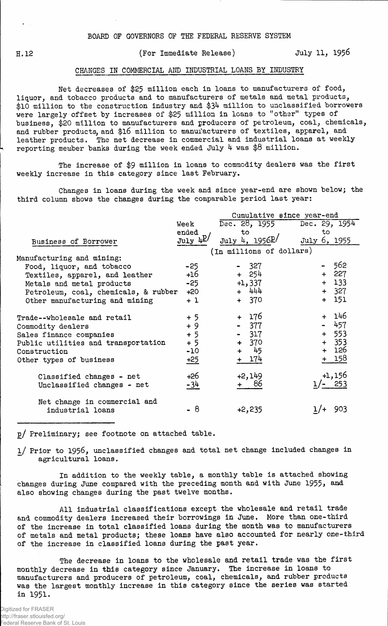H. 12

## (For Immediate Release) July 11, 195&

## CHANGES IN COMMERCIAL AND INDUSTRIAL LOANS BY INDUSTRY

Net decreases of \$25 million each in loans to manufacturers of food, liquor, and tobacco products and to manufacturers of metals and metal products, \$10 million to the construction industry and \$34 million to unclassified borrowers were largely offset by increases of \$25 million in loans to "other" types of business, \$20 million to manufacturers and producers of petroleum, coal, chemicals, and rubber products, and \$16 million to manufacturers of textiles, apparel, and leather products. The net decrease in commercial and industrial loans at weekly reporting member banks during the week ended July 4 was \$8 million.

The increase of \$9 million in loans to commodity dealers was the first weekly increase in this category since last February.

Changes in loans during the week and since year-end are shown below; the third column shows the changes during the comparable period last year:

|                                      |                    | Cumulative since year-end     |               |  |  |  |
|--------------------------------------|--------------------|-------------------------------|---------------|--|--|--|
|                                      | Week               | Dec. 28, 1955                 | Dec. 29, 1954 |  |  |  |
|                                      | ended              | to                            | to            |  |  |  |
| Business of Borrower                 | $July \frac{1}{2}$ | July 4, $1956$ <sup>p</sup> / | July 6, 1955  |  |  |  |
|                                      |                    | (In millions of dollars)      |               |  |  |  |
| Manufacturing and mining:            |                    |                               |               |  |  |  |
| Food, liquor, and tobacco            | $-25$              | - 327                         | - 562         |  |  |  |
| Textiles, apparel, and leather       | +16                | + 254                         | + 227         |  |  |  |
| Metals and metal products            | $-25$              | $+1,337$                      | $+ 133$       |  |  |  |
| Petroleum, coal, chemicals, & rubber | +20                | $+ 444$                       | $+ 327$       |  |  |  |
| Other manufacturing and mining       | $+1$               | $+ 370$                       | $+ 151$       |  |  |  |
| Trade--wholesale and retail          | $+5$               | + 176                         | + 146         |  |  |  |
| Commodity dealers                    | $+9$               | - 377                         | $-457$        |  |  |  |
| Sales finance companies              | $+5$               | $-317$                        | $+ 553$       |  |  |  |
| Public utilities and transportation  | $+5$               | $+ 370$                       | $+ 353$       |  |  |  |
| Construction                         | $-10$              | + 45                          | + 126         |  |  |  |
| Other types of business              | $+25$              | + 174                         | + 158         |  |  |  |
| Classified changes - net             | +26                | +2,149                        | $+1,156$      |  |  |  |
| Unclassified changes - net           | $-34$              | 86                            | $1/- 253$     |  |  |  |
| Net change in commercial and         |                    |                               |               |  |  |  |
| industrial loans                     | - 8                | $+2,235$                      | 903           |  |  |  |

p/ Preliminary; see footnote on attached table.

l/ Prior to 1956, unclassified changes and total net change included changes in agricultural loans.

In addition to the weekly table, a monthly table is attached showing changes during June compared with the preceding month and with June 1955, and also showing changes during the past twelve months.

All industrial classifications except the wholesale and retail trade and commodity dealers increased their borrowings in June. More than one-third of the increase in total classified loans during the month was to manufacturers of metals and metal products; these loans have also accounted for nearly one-third of the increase in classified loans during the past year.

The decrease in loans to the wholesale and retail trade was the first monthly decrease in this category since January. The increase in loans to manufacturers and producers of petroleum, coal, chemicals, and rubber products was the largest monthly increase in this category since the series was started in 1951.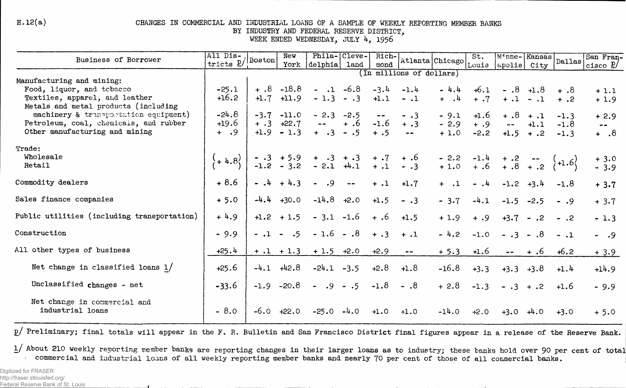$H.12(a)$ 

## CHANGES IN COMMERCIAL AND INDUSTRIAL LOANS OF A SAMPLE OF WEEKLY REPORTING MEMBER BANKS BY INDUSTRY AND FEDERAL RESERVE DISTRICT.

WEEK ENDED WEDNESDAY, JULY 4, 1956

| Business of Borrower                             | All Dis-<br>$tricts \underline{p}/ \text{Boston} $ |         | New            | Phila- Cleve-                                                               |                       | Rich-                                            |                             |                                   | St.    | Minne-Kansas                                                                                                                                                                                                                                                                                                                                                                                 |             | $\vert$ Dallas $\vert$ | San Fran-               |
|--------------------------------------------------|----------------------------------------------------|---------|----------------|-----------------------------------------------------------------------------|-----------------------|--------------------------------------------------|-----------------------------|-----------------------------------|--------|----------------------------------------------------------------------------------------------------------------------------------------------------------------------------------------------------------------------------------------------------------------------------------------------------------------------------------------------------------------------------------------------|-------------|------------------------|-------------------------|
|                                                  |                                                    |         | York           | delphia land                                                                |                       | mond                                             |                             | Atlanta Chicago Louis apolis City |        |                                                                                                                                                                                                                                                                                                                                                                                              |             |                        | cisco $\underline{P}$   |
| Manufacturing and mining:                        |                                                    |         |                |                                                                             |                       |                                                  | (In millions of dollars)    |                                   |        |                                                                                                                                                                                                                                                                                                                                                                                              |             |                        |                         |
| Food, liquor, and tebacco                        | $-25.1$                                            |         | $+ .8 - 18.8$  |                                                                             | $-.1 -6.8$            | $-3.4$                                           | $-1.4$                      | $-4.4$                            | $+6.1$ | $-.8 + 1.8$                                                                                                                                                                                                                                                                                                                                                                                  |             | $+$ .8                 | $+1.1$                  |
| Textiles, apparel, and leather                   | $+16.2$                                            |         | $+1.7$ $+11.9$ | $-1.3 - .3$                                                                 |                       | $+1.1$                                           | $-.1$                       | $+$ $\cdot$ $\cdot$               | $+ .7$ | $+ .1 - .1$                                                                                                                                                                                                                                                                                                                                                                                  |             | $+$ ,2                 | $+1.9$                  |
| Metals and metal products (including             |                                                    |         |                |                                                                             |                       |                                                  |                             |                                   |        |                                                                                                                                                                                                                                                                                                                                                                                              |             |                        |                         |
| machinery & transportation equipment)            | $-24.8$                                            |         | $-3.7 -11.0$   | $-2.3 -2.5$                                                                 |                       | $\qquad \qquad \blacksquare \qquad \blacksquare$ | $-3$                        | $-9.1$                            | $+1.6$ |                                                                                                                                                                                                                                                                                                                                                                                              | $+ .8 + .1$ | $-1.3$                 | $+2.9$                  |
| Petroleum, coal, chemicals, and rubber           | $+19.6$                                            | $+ .3$  | $+22.7$        | $\rightarrow$ $\rightarrow$                                                 | $+ .6$                | $-1.6$                                           | $+ .3$                      | $-2.9$                            | $+ .9$ | $\frac{1}{2} \frac{1}{2} \frac{1}{2} \frac{1}{2} \frac{1}{2} \frac{1}{2} \frac{1}{2} \frac{1}{2} \frac{1}{2} \frac{1}{2} \frac{1}{2} \frac{1}{2} \frac{1}{2} \frac{1}{2} \frac{1}{2} \frac{1}{2} \frac{1}{2} \frac{1}{2} \frac{1}{2} \frac{1}{2} \frac{1}{2} \frac{1}{2} \frac{1}{2} \frac{1}{2} \frac{1}{2} \frac{1}{2} \frac{1}{2} \frac{1}{2} \frac{1}{2} \frac{1}{2} \frac{1}{2} \frac{$ | $+1.1$      | $-1.8$                 | $\qquad \qquad \bullet$ |
| Other manufacturing and mining                   | $+$ .9                                             |         | $+1.9 - 1.3$   | $+ 3 - 5$                                                                   |                       | $+ .5$                                           | $\rightarrow$ $\rightarrow$ | $+1.0$                            | $-2.2$ | $+1.5 + .2$                                                                                                                                                                                                                                                                                                                                                                                  |             | $-1.3$                 | $8. +$                  |
| Trade:                                           |                                                    |         |                |                                                                             |                       |                                                  |                             |                                   |        |                                                                                                                                                                                                                                                                                                                                                                                              |             |                        |                         |
| Wholesale                                        |                                                    |         |                |                                                                             |                       |                                                  |                             |                                   |        |                                                                                                                                                                                                                                                                                                                                                                                              |             |                        | $+3.0$                  |
| Retail                                           | $(+4.8)$                                           |         |                | $-0.3 + 5.9 + 0.3 + 0.3 + 0.7 + 0.6$<br>-1.2 - 3.2 - 2.1 $+1.1 + 0.1 - 0.3$ |                       |                                                  |                             |                                   |        | $-2.2$ $-1.4$ $+ .2$ $ (+1.6)$<br>+ 1.0 $+ .6$ $+ .8$ $+ .2$ $(+1.6)$                                                                                                                                                                                                                                                                                                                        |             |                        | $-3.9$                  |
|                                                  |                                                    |         |                |                                                                             |                       |                                                  |                             |                                   |        |                                                                                                                                                                                                                                                                                                                                                                                              |             |                        |                         |
| Commodity dealers                                | $+8.6$                                             |         | $-14 + 4.3$    | $-0.9$                                                                      | $\sim$ $\sim$         | $+ .1$                                           | $+1.7$                      | $+$ .1                            | $-14$  | $-1.2 +3.4$                                                                                                                                                                                                                                                                                                                                                                                  |             | $-1.8$                 | $+3.7$                  |
| Sales finance companies                          | $+5.0$                                             |         | $-4.4 + 30.0$  | $-14.8$ $+2.0$                                                              |                       | $+1.5$                                           | $- .3$                      | $-3.7$                            | $-4.1$ | $-1.5 -2.5$                                                                                                                                                                                                                                                                                                                                                                                  |             | $-0.9$                 | $+3.7$                  |
| Public utilities (including transportation)      | $+4.9$                                             |         | $+1.2 + 1.5$   |                                                                             | $-3.1 -1.6 + .6$      |                                                  | $+1.5$                      | $+1.9$                            | $+ .9$ |                                                                                                                                                                                                                                                                                                                                                                                              | $+3.7 - .2$ | $-.2$                  | $-1.3$                  |
| Construction                                     | $-9.9$                                             | $-.1 -$ | .5             |                                                                             | $-1.6 - .8 + .3 + .1$ |                                                  |                             | $-4.2$                            | $-1.0$ | $-.3-.8$                                                                                                                                                                                                                                                                                                                                                                                     |             | $-1$                   | $- 0.9$                 |
|                                                  |                                                    |         |                |                                                                             |                       |                                                  |                             |                                   |        |                                                                                                                                                                                                                                                                                                                                                                                              |             |                        |                         |
| All other types of business                      | $+25.4$                                            |         |                | $+ 0.1 + 1.3 + 1.5 + 2.0$                                                   |                       | $+2.9$                                           | $\bullet\bullet$            | $+ 5.3$                           | $+1.6$ |                                                                                                                                                                                                                                                                                                                                                                                              | $- - + 0.6$ | $+6.2$                 | $+3.9$                  |
| Net change in classified loans $1/$              | $+25.6$                                            |         | $-4.1$ $+42.8$ | $-24.1 -3.5$                                                                |                       | $+2.8$                                           | $+1.8$                      | $-16.8$                           | $+3.3$ | $+3.3 +3.8$                                                                                                                                                                                                                                                                                                                                                                                  |             | $+1.4$                 | $+14.9$                 |
| Unclassified changes - net                       | $-33.6$                                            |         | $-1.9 -20.8$   | $- .9 - .5$                                                                 |                       | $-1.8$                                           | $- .8$                      | $+2.8$                            | $-1.3$ | $-.3 + .2$                                                                                                                                                                                                                                                                                                                                                                                   |             | $+1.6$                 | $-9.9$                  |
| Net change in commercial and<br>industrial loans | $-8.0$                                             |         | $-6.0$ $+22.0$ | $-25.0$                                                                     | $-4.0$                | $+1.0$                                           | $+1.0$                      | $-14.0$                           | $+2.0$ | $+3.0 +4.0$                                                                                                                                                                                                                                                                                                                                                                                  |             | $+3.0$                 | $+5.0$                  |
|                                                  |                                                    |         |                |                                                                             |                       |                                                  |                             |                                   |        |                                                                                                                                                                                                                                                                                                                                                                                              |             |                        |                         |

p/ Preliminary; final totals will appear in the F. R. Bulletin and San Francisco District final figures appear in a release of the Reserve Bank.

1/ About 210 weekly reporting member banks are reporting changes in their larger loans as to industry; these banks hold over 90 per cent of total commercial and industrial loans of all weekly reporting member banks and nearly 70 per cent of those of all commercial banks.

Digitized for FRASER http://fraser.stlouisfed.org/ Federal Reserve Bank of St. Louis

**The Common Street Street Street**